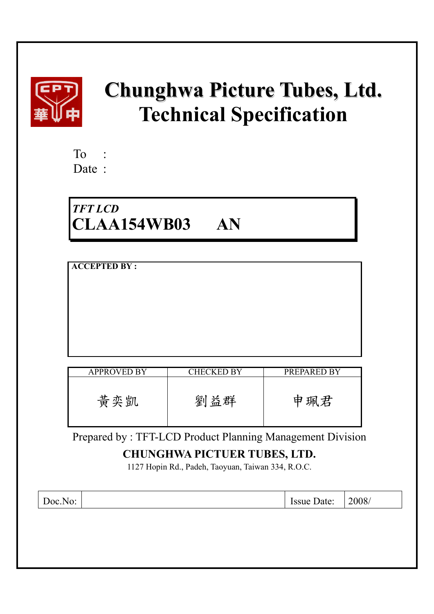

# **Chunghwa Picture Tubes, Ltd. Technical Specification**

| To   |  |
|------|--|
| Date |  |

# *TFT LCD*  **CLAA154WB03 AN**

| <b>ACCEPTED BY:</b> |                   |             |
|---------------------|-------------------|-------------|
| <b>APPROVED BY</b>  | <b>CHECKED BY</b> | PREPARED BY |
| 黃奕凱                 | 劉益群               | 申珮君         |

Prepared by : TFT-LCD Product Planning Management Division

# **CHUNGHWA PICTUER TUBES, LTD.**

1127 Hopin Rd., Padeh, Taoyuan, Taiwan 334, R.O.C.

|  | $N\Omega$<br>$"$ IOC.1<br>Iv. |  | Issue Date: | 2008/ |
|--|-------------------------------|--|-------------|-------|
|--|-------------------------------|--|-------------|-------|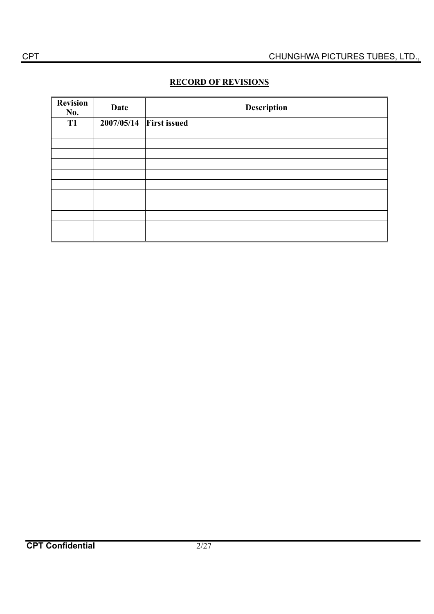# **RECORD OF REVISIONS**

| <b>Revision</b><br>No. | Date       | <b>Description</b>  |
|------------------------|------------|---------------------|
| T <sub>1</sub>         | 2007/05/14 | <b>First issued</b> |
|                        |            |                     |
|                        |            |                     |
|                        |            |                     |
|                        |            |                     |
|                        |            |                     |
|                        |            |                     |
|                        |            |                     |
|                        |            |                     |
|                        |            |                     |
|                        |            |                     |
|                        |            |                     |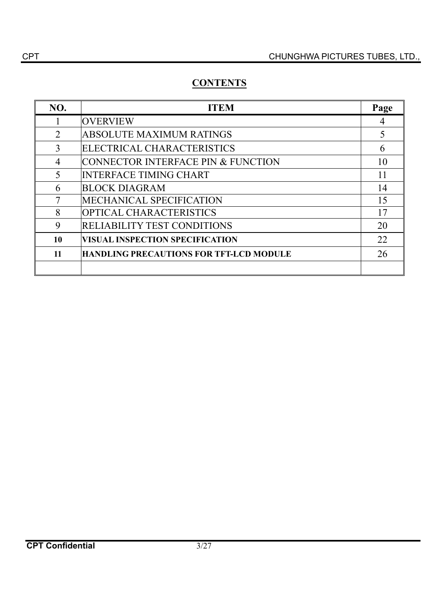# **CONTENTS**

| NO.            | <b>ITEM</b>                                    | Page |
|----------------|------------------------------------------------|------|
|                | <b>OVERVIEW</b>                                |      |
| $\overline{2}$ | <b>ABSOLUTE MAXIMUM RATINGS</b>                |      |
| 3              | ELECTRICAL CHARACTERISTICS                     | 6    |
| $\overline{4}$ | CONNECTOR INTERFACE PIN & FUNCTION             | 10   |
| 5              | <b>INTERFACE TIMING CHART</b>                  | 11   |
| 6              | <b>BLOCK DIAGRAM</b>                           | 14   |
| 7              | <b>MECHANICAL SPECIFICATION</b>                | 15   |
| 8              | OPTICAL CHARACTERISTICS                        | 17   |
| 9              | <b>RELIABILITY TEST CONDITIONS</b>             | 20   |
| 10             | <b>VISUAL INSPECTION SPECIFICATION</b>         | 22   |
| 11             | <b>HANDLING PRECAUTIONS FOR TFT-LCD MODULE</b> | 26   |
|                |                                                |      |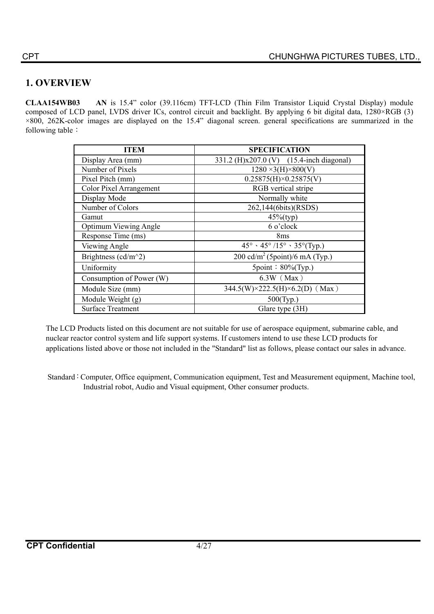# **1. OVERVIEW**

**CLAA154WB03 AN** is 15.4" color (39.116cm) TFT-LCD (Thin Film Transistor Liquid Crystal Display) module composed of LCD panel, LVDS driver ICs, control circuit and backlight. By applying 6 bit digital data, 1280×RGB (3) ×800, 262K-color images are displayed on the 15.4" diagonal screen. general specifications are summarized in the following table:

| <b>ITEM</b>                  | <b>SPECIFICATION</b>                                             |
|------------------------------|------------------------------------------------------------------|
| Display Area (mm)            | 331.2 (H)x207.0 (V) (15.4-inch diagonal)                         |
| Number of Pixels             | $1280 \times 3(H) \times 800(V)$                                 |
| Pixel Pitch (mm)             | $0.25875(H) \times 0.25875(V)$                                   |
| Color Pixel Arrangement      | RGB vertical stripe                                              |
| Display Mode                 | Normally white                                                   |
| Number of Colors             | 262,144(6bits)(RSDS)                                             |
| Gamut                        | $45\%$ (typ)                                                     |
| <b>Optimum Viewing Angle</b> | 6 o'clock                                                        |
| Response Time (ms)           | 8 <sub>ms</sub>                                                  |
| Viewing Angle                | $45^{\circ} \cdot 45^{\circ}/15^{\circ} \cdot 35^{\circ}$ (Typ.) |
| Brightness (cd/m^2)          | 200 cd/m <sup>2</sup> (5point)/6 mA (Typ.)                       |
| Uniformity                   | $5$ point: $80\%$ (Typ.)                                         |
| Consumption of Power (W)     | $6.3W$ (Max)                                                     |
| Module Size (mm)             | $344.5(W)\times222.5(H)\times6.2(D)$ (Max)                       |
| Module Weight (g)            | $500$ (Typ.)                                                     |
| <b>Surface Treatment</b>     | Glare type (3H)                                                  |

The LCD Products listed on this document are not suitable for use of aerospace equipment, submarine cable, and nuclear reactor control system and life support systems. If customers intend to use these LCD products for applications listed above or those not included in the "Standard" list as follows, please contact our sales in advance.

Standard : Computer, Office equipment, Communication equipment, Test and Measurement equipment, Machine tool, Industrial robot, Audio and Visual equipment, Other consumer products.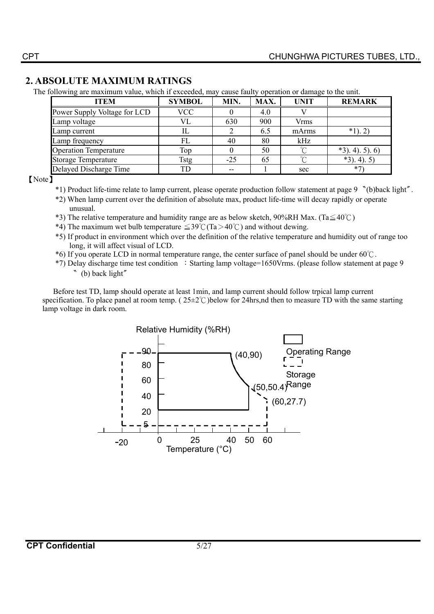# **2. ABSOLUTE MAXIMUM RATINGS**

The following are maximum value, which if exceeded, may cause faulty operation or damage to the unit.

| <b>ITEM</b>                  | <b>SYMBOL</b> | MIN.  | MAX. | <b>UNIT</b> | <b>REMARK</b>     |
|------------------------------|---------------|-------|------|-------------|-------------------|
| Power Supply Voltage for LCD | <b>VCC</b>    |       | 4.0  |             |                   |
| Lamp voltage                 | VL            | 630   | 900  | Vrms        |                   |
| Lamp current                 |               |       | 6.5  | mArms       | $*1$ ).           |
| Lamp frequency               | FL            | 40    | 80   | kHz         |                   |
| <b>Operation Temperature</b> | Top           |       | 50   |             | $*3$ , 4), 5), 6) |
| <b>Storage Temperature</b>   | Tstg          | $-25$ | 65   | $\sim$      | $*3$ ). 4). 5)    |
| Delayed Discharge Time       | TD            |       |      | sec         | $*7$              |

 $[Note]$ 

- \*1) Product life-time relate to lamp current, please operate production follow statement at page 9 (b)back light".
- \*2) When lamp current over the definition of absolute max, product life-time will decay rapidly or operate unusual.
- \*3) The relative temperature and humidity range are as below sketch, 90%RH Max. (Ta $\leq 40^{\circ}$ C)
- \*4) The maximum wet bulb temperature  $\leq 39^{\circ}$  (Ta > 40°C) and without dewing.
- \*5) If product in environment which over the definition of the relative temperature and humidity out of range too long, it will affect visual of LCD.
- $*6$ ) If you operate LCD in normal temperature range, the center surface of panel should be under 60°C.
- \*7) Delay discharge time test condition : Starting lamp voltage=1650Vrms. (please follow statement at page 9 " (b) back light"

Before test TD, lamp should operate at least 1min, and lamp current should follow trpical lamp current specification. To place panel at room temp. ( $25\pm2\degree$ )below for 24hrs,nd then to measure TD with the same starting lamp voltage in dark room.

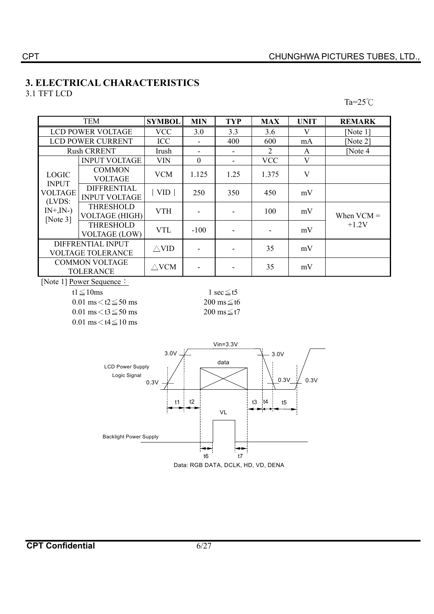# **3. ELECTRICAL CHARACTERISTICS**

3.1 TFT LCD

 $Ta = 25^\circ \text{C}$ 

|                               | <b>TEM</b>                                    | <b>SYMBOL</b>   | <b>MIN</b> | <b>TYP</b> | <b>MAX</b>                  | <b>UNIT</b> | <b>REMARK</b>        |
|-------------------------------|-----------------------------------------------|-----------------|------------|------------|-----------------------------|-------------|----------------------|
|                               | <b>LCD POWER VOLTAGE</b>                      | <b>VCC</b>      | 3.0        | 3.3        | 3.6                         | V           | [Note $1$ ]          |
|                               | <b>LCD POWER CURRENT</b>                      | <b>ICC</b>      |            | 400        | 600                         | mA          | [Note $2$ ]          |
|                               | <b>Rush CRRENT</b>                            | Irush           | ٠          |            | $\mathcal{D}_{\mathcal{L}}$ | A           | $\sqrt{\frac{1}{1}}$ |
|                               | <b>INPUT VOLTAGE</b>                          | <b>VIN</b>      | $\theta$   | ۰          | <b>VCC</b>                  | V           |                      |
| <b>LOGIC</b><br><b>INPUT</b>  | <b>COMMON</b><br><b>VOLTAGE</b>               | <b>VCM</b>      | 1.125      | 1.25       | 1.375                       | V           |                      |
| <b>VOLTAGE</b><br>(LVDS:      | <b>DIFFRENTIAL</b><br><b>INPUT VOLTAGE</b>    | VID             | 250        | 350        | 450                         | mV          |                      |
| $IN+$ , $IN-)$<br>[Note $3$ ] | <b>THRESHOLD</b><br><b>VOLTAGE (HIGH)</b>     | <b>VTH</b>      |            |            | 100                         | mV          | When $VCM =$         |
|                               | <b>THRESHOLD</b><br><b>VOLTAGE (LOW)</b>      | <b>VTL</b>      | $-100$     |            |                             | mV          | $+1.2V$              |
|                               | DIFFRENTIAL INPUT<br><b>VOLTAGE TOLERANCE</b> | $\wedge$ VID    |            |            | 35                          | mV          |                      |
|                               | <b>COMMON VOLTAGE</b><br><b>TOLERANCE</b>     | $\triangle$ VCM |            |            | 35                          | mV          |                      |

[Note 1] Power Sequence:

 $0.01 \text{ ms} \leq t2 \leq 50 \text{ ms}$  200 ms  $\leq t6$  $0.01 \text{ ms} \leq t3 \leq 50 \text{ ms}$  200 ms  $\leq t7$ 0.01 ms $<$ t4 $\leq$ 10 ms

t1  $\leq$  10ms 1 sec  $\leq$  t5



Data: RGB DATA, DCLK, HD, VD, DENA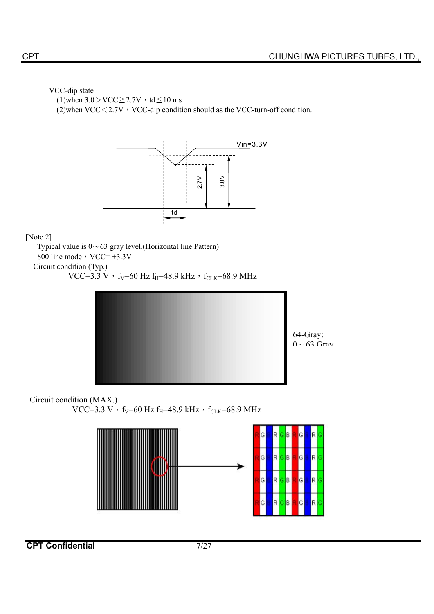#### VCC-dip state

(1)when  $3.0 > \text{VCC} \geq 2.7\text{V} \cdot \text{td} \leq 10 \text{ ms}$ 

(2)when VCC $<$ 2.7V  $\cdot$  VCC-dip condition should as the VCC-turn-off condition.



#### [Note 2]

Typical value is  $0 \sim 63$  gray level.(Horizontal line Pattern) 800 line mode,  $VCC = +3.3V$ Circuit condition (Typ.)

VCC=3.3 V  $\cdot$  f<sub>V</sub>=60 Hz f<sub>H</sub>=48.9 kHz $\cdot$  f<sub>CLK</sub>=68.9 MHz



# Circuit condition (MAX.)

VCC=3.3 V $\cdot$  f<sub>V</sub>=60 Hz f<sub>H</sub>=48.9 kHz $\cdot$  f<sub>CLK</sub>=68.9 MHz

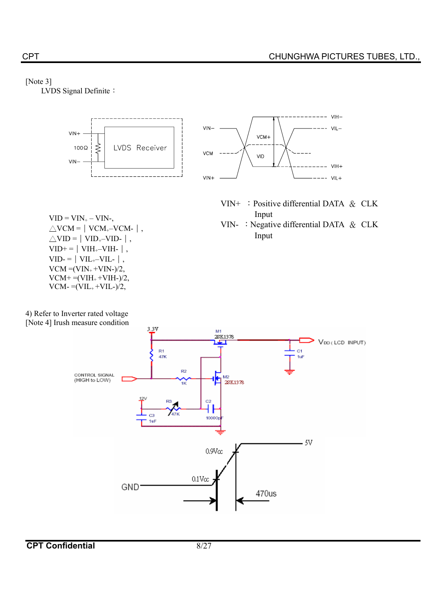#### [Note 3]

LVDS Signal Definite:



4) Refer to Inverter rated voltage [Note 4] Irush measure condition

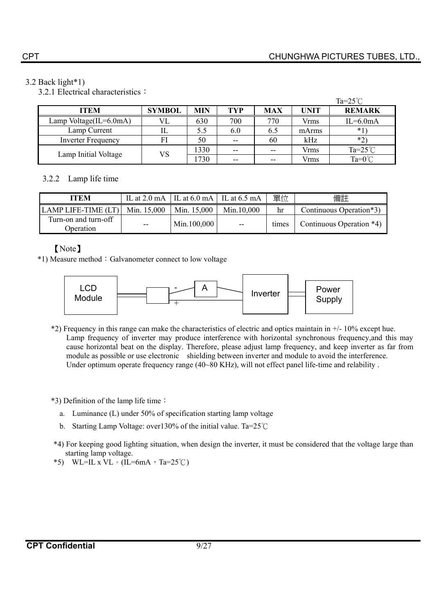### 3.2 Back light\*1)

3.2.1 Electrical characteristics:

|                           |               |      |       |            |       | Ta= $25^{\circ}$ C |
|---------------------------|---------------|------|-------|------------|-------|--------------------|
| <b>ITEM</b>               | <b>SYMBOL</b> | MIN  | TYP   | <b>MAX</b> | UNIT  | <b>REMARK</b>      |
| Lamp Voltage(IL=6.0mA)    | VL            | 630  | 700   | 770        | Vrms  | $IL=6.0mA$         |
| Lamp Current              | IL            | 5.5  | 6.0   | 6.5        | mArms | $*1$               |
| <b>Inverter Frequency</b> | FI            | 50   | $- -$ | 60         | kHz   | $*2)$              |
|                           | VS            | 1330 | $- -$ | --         | Vrms  | Ta= $25^{\circ}$ C |
| Lamp Initial Voltage      |               | 1730 | $- -$ | $- -$      | Vrms  | Ta= $0^{\circ}$ C  |

# 3.2.2 Lamp life time

| <b>ITEM</b>                       |             | IL at 2.0 mA   IL at $6.0$ mA   IL at $6.5$ mA |               | 單位    | 備註                       |
|-----------------------------------|-------------|------------------------------------------------|---------------|-------|--------------------------|
| LAMP LIFE-TIME (LT)               | Min. 15,000 | Min. 15,000                                    | Min.10,000    | hr    | Continuous Operation*3)  |
| Turn-on and turn-off<br>Operation | $- -$       | Min.100,000                                    | $\sim$ $\sim$ | times | Continuous Operation *4) |

# [Note]

\*1) Measure method : Galvanometer connect to low voltage



- \*2) Frequency in this range can make the characteristics of electric and optics maintain in +/- 10% except hue. Lamp frequency of inverter may produce interference with horizontal synchronous frequency,and this may cause horizontal beat on the display. Therefore, please adjust lamp frequency, and keep inverter as far from module as possible or use electronic shielding between inverter and module to avoid the interference. Under optimum operate frequency range (40~80 KHz), will not effect panel life-time and relability.
- $*3$ ) Definition of the lamp life time :
	- a. Luminance (L) under 50% of specification starting lamp voltage
	- b. Starting Lamp Voltage: over 130% of the initial value. Ta=25°C
- \*4) For keeping good lighting situation, when design the inverter, it must be considered that the voltage large than starting lamp voltage.
- \*5) WL=IL x VL  $\cdot$  (IL=6mA  $\cdot$  Ta=25°C)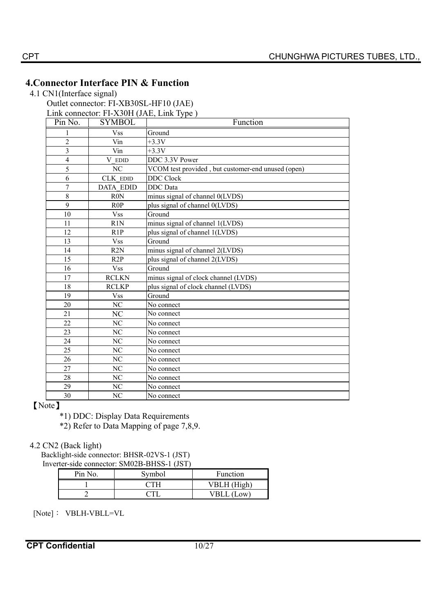# **4.Connector Interface PIN & Function**

4.1 CN1(Interface signal)

Outlet connector: FI-XB30SL-HF10 (JAE)

Link connector: FI-X30H (JAE, Link Type )

| Pin No.                 | <b>SYMBOL</b>    | Function                                           |
|-------------------------|------------------|----------------------------------------------------|
| 1                       | <b>Vss</b>       | Ground                                             |
| $\overline{2}$          | Vin              | $+3.3V$                                            |
| $\overline{\mathbf{3}}$ | Vin              | $+3.3V$                                            |
| $\overline{4}$          | V EDID           | DDC 3.3V Power                                     |
| 5                       | NC               | VCOM test provided, but customer-end unused (open) |
| 6                       | CLK EDID         | <b>DDC</b> Clock                                   |
| $\overline{7}$          | <b>DATA EDID</b> | <b>DDC</b> Data                                    |
| 8                       | R <sub>0</sub> N | minus signal of channel 0(LVDS)                    |
| 9                       | R <sub>0</sub> P | plus signal of channel 0(LVDS)                     |
| 10                      | <b>Vss</b>       | Ground                                             |
| 11                      | R1N              | minus signal of channel 1(LVDS)                    |
| 12                      | R1P              | plus signal of channel 1(LVDS)                     |
| 13                      | <b>Vss</b>       | Ground                                             |
| 14                      | R2N              | minus signal of channel 2(LVDS)                    |
| 15                      | R2P              | plus signal of channel 2(LVDS)                     |
| 16                      | <b>Vss</b>       | Ground                                             |
| 17                      | <b>RCLKN</b>     | minus signal of clock channel (LVDS)               |
| 18                      | <b>RCLKP</b>     | plus signal of clock channel (LVDS)                |
| 19                      | <b>Vss</b>       | Ground                                             |
| 20                      | NC               | No connect                                         |
| 21                      | NC               | No connect                                         |
| 22                      | NC               | No connect                                         |
| 23                      | NC               | No connect                                         |
| 24                      | NC               | No connect                                         |
| 25                      | NC               | No connect                                         |
| 26                      | NC               | No connect                                         |
| 27                      | NC               | No connect                                         |
| 28                      | NC               | No connect                                         |
| 29                      | $\rm NC$         | No connect                                         |
| 30                      | N <sub>C</sub>   | No connect                                         |

[Note]

\*1) DDC: Display Data Requirements

\*2) Refer to Data Mapping of page 7,8,9.

#### 4.2 CN2 (Back light)

Backlight-side connector: BHSR-02VS-1 (JST) Inverter-side connector: SM02B-BHSS-1 (JST)

|         | $\mu$ we shay connector. Shayed Drive T (30 F) |             |  |  |  |  |
|---------|------------------------------------------------|-------------|--|--|--|--|
| Pin No. | Symbol                                         | Function    |  |  |  |  |
|         |                                                | VBLH (High) |  |  |  |  |
|         |                                                | VBLL (Low)  |  |  |  |  |

[Note]: VBLH-VBLL=VL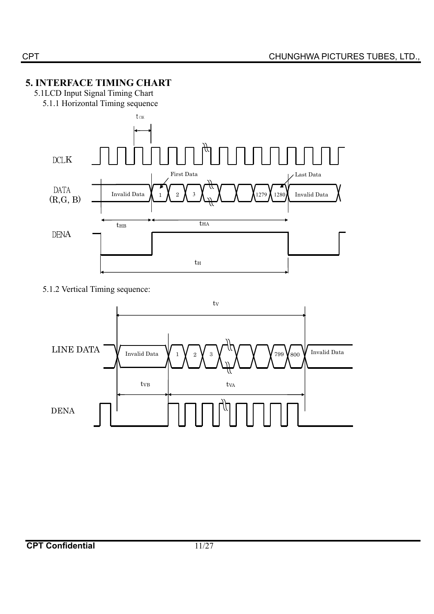# **5. INTERFACE TIMING CHART**

- 5.1LCD Input Signal Timing Chart
	- 5.1.1 Horizontal Timing sequence



5.1.2 Vertical Timing sequence:

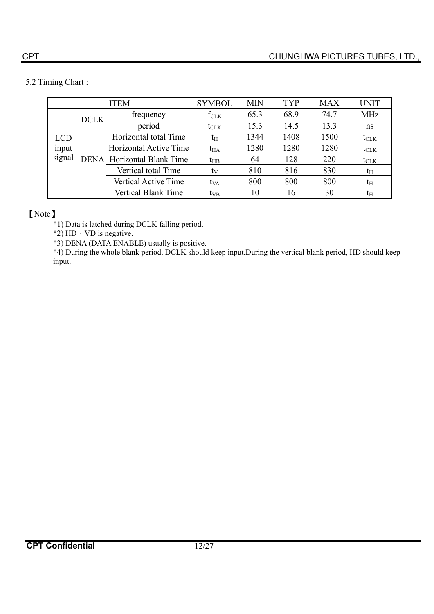# 5.2 Timing Chart :

| <b>ITEM</b>                   |             |                                   | <b>SYMBOL</b>    | <b>MIN</b> | TYP  | <b>MAX</b> | <b>UNIT</b> |
|-------------------------------|-------------|-----------------------------------|------------------|------------|------|------------|-------------|
|                               |             | frequency                         | $f_{CLK}$        | 65.3       | 68.9 | 74.7       | <b>MHz</b>  |
|                               | <b>DCLK</b> | period                            | $t_{\text{CLK}}$ | 15.3       | 14.5 | 13.3       | ns          |
| <b>LCD</b><br>input<br>signal |             | Horizontal total Time             | t <sub>H</sub>   | 1344       | 1408 | 1500       | $t_{CLK}$   |
|                               |             | Horizontal Active Time            | $t_{HA}$         | 1280       | 1280 | 1280       | $t_{CLK}$   |
|                               |             | <b>DENA</b> Horizontal Blank Time | $t_{HB}$         | 64         | 128  | 220        | $t_{CLK}$   |
|                               |             | Vertical total Time               | ty               | 810        | 816  | 830        | $t_{\rm H}$ |
|                               |             | Vertical Active Time              | t <sub>VA</sub>  | 800        | 800  | 800        | $t_{\rm H}$ |
|                               |             | <b>Vertical Blank Time</b>        | $t_{VB}$         | 10         | 16   | 30         | $t_{\rm H}$ |

# [Note]

\*1) Data is latched during DCLK falling period.

 $*2$ ) HD  $\cdot$  VD is negative.

\*3) DENA (DATA ENABLE) usually is positive.

\*4) During the whole blank period, DCLK should keep input.During the vertical blank period, HD should keep input.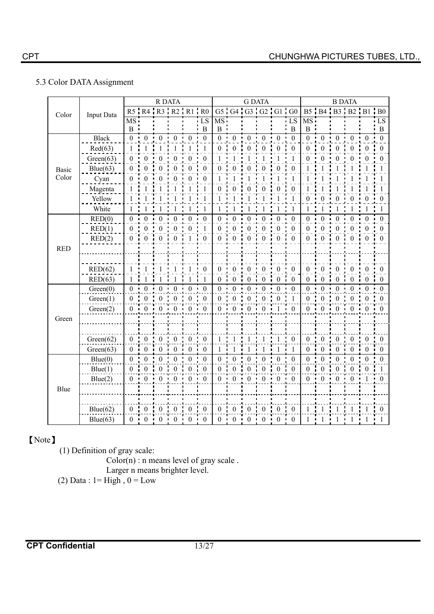# 5.3 Color DATA Assignment

|            |              |                  |                               | R DATA           |                  |                  |                           |                  |                  |                  | <b>G DATA</b>               |                  |                  |                  |                   | <b>B DATA</b>    |                  |                |                  |
|------------|--------------|------------------|-------------------------------|------------------|------------------|------------------|---------------------------|------------------|------------------|------------------|-----------------------------|------------------|------------------|------------------|-------------------|------------------|------------------|----------------|------------------|
| Color      | Input Data   |                  | $R5$ $R4$ $R3$ $R2$ $R1$ $R0$ |                  |                  |                  |                           |                  |                  |                  | G5   G4   G3   G2   G1   G0 |                  |                  |                  | B5 B4 B3 B2 B1 B0 |                  |                  |                |                  |
|            |              | MS ·             |                               |                  |                  |                  | LS                        | MS:              |                  |                  |                             |                  | LS               | MS <sub>1</sub>  |                   |                  |                  |                | LS               |
|            |              | B                |                               |                  |                  |                  | B                         | $\, {\bf B}$     |                  |                  |                             |                  | B                | B                |                   |                  |                  |                | B                |
|            | <b>Black</b> | $\overline{0}$   | $\overline{0}$                | $\overline{0}$   | $\theta$         | $\theta$         | $\overline{0}$            | $\overline{0}$   | $\overline{0}$   | $\theta$         | $\overline{0}$              | $\Omega$         | $\overline{0}$   | $\overline{0}$   | $\overline{0}$    | $\overline{0}$   | $\theta$         | $\Omega$       | $\Omega$         |
|            | Red(63)      |                  |                               |                  |                  |                  | 1                         | $\boldsymbol{0}$ | $\boldsymbol{0}$ | $\boldsymbol{0}$ | $\boldsymbol{0}$            | $\boldsymbol{0}$ | $\boldsymbol{0}$ | $\boldsymbol{0}$ | $\boldsymbol{0}$  | $\boldsymbol{0}$ | $\boldsymbol{0}$ | $\theta$       | $\boldsymbol{0}$ |
|            | Green(63)    | 0                |                               | 0                |                  | 0                | $\theta$                  | 1                |                  |                  |                             |                  | 1                | 0                | $\theta$          | $\Omega$         | $\theta$         | $\Omega$       | 0                |
| Basic      | Blue(63)     | $\theta$         |                               | $\theta$         | $\Omega$         | $\theta$         | $\mathbf{0}$              | $\boldsymbol{0}$ | $\theta$         | 0                | $\theta$                    | 0                | $\theta$         |                  |                   |                  |                  |                |                  |
| Color      | Cyan         | $\theta$         | $\Omega$                      | $\theta$         | $\theta$         | $\theta$         | $\theta$                  |                  |                  |                  |                             |                  |                  |                  |                   |                  |                  |                |                  |
|            | Magenta      |                  |                               |                  |                  |                  |                           | 0                |                  |                  | $\theta$                    | 0                | $\Omega$         |                  |                   |                  |                  |                |                  |
|            | Yellow       | $\mathbf{1}$     |                               |                  |                  |                  |                           | $\mathbf{1}$     |                  |                  |                             |                  |                  | $\Omega$         | $\boldsymbol{0}$  | $\theta$         | $\boldsymbol{0}$ | $\theta$       | $\theta$         |
|            | White        | 1                | 1                             |                  |                  |                  | 1                         | 1                |                  |                  | 1                           |                  | 1                |                  |                   | 1                | 1                |                |                  |
|            | RED(0)       | 0 <sub>1</sub>   | $\mathbf{0}$                  | $\boldsymbol{0}$ | $\boldsymbol{0}$ | $\boldsymbol{0}$ | $\boldsymbol{0}$          | $0$ :            | $\boldsymbol{0}$ | $\boldsymbol{0}$ | $\mathbf{0}$                | $\mathbf{0}$     | $\boldsymbol{0}$ | 0                | $\boldsymbol{0}$  | $\overline{0}$   | $\boldsymbol{0}$ | $\overline{0}$ | $\boldsymbol{0}$ |
|            | RED(1)       | $\theta$         | $\boldsymbol{0}$              | $\boldsymbol{0}$ | $\theta$         | $\theta$         | 1                         | $\theta$         | $\boldsymbol{0}$ | $\theta$         | $\boldsymbol{0}$            | $\theta$         | $\theta$         | $\theta$         | $\boldsymbol{0}$  | $\mathbf{0}$     | $\boldsymbol{0}$ | $\Omega$       | $\theta$         |
|            | RED(2)       | $\overline{0}$   | $\overline{0}$                | $\overline{0}$   | $\overline{0}$   | $\!1$            | $\mathbf{i} \ \mathbf{0}$ | $0 -$            | $\mathbf{0}$     | $\mathbf{0}$     |                             | 0 : 0 : 0        |                  | $\theta$         | $\mathbf{0}$      | $\theta$         | $\mathbf{0}$     | $0 \cdot 0$    |                  |
| <b>RED</b> |              |                  |                               |                  |                  |                  |                           |                  |                  |                  |                             |                  |                  |                  |                   |                  |                  |                |                  |
|            |              |                  |                               |                  |                  |                  |                           |                  |                  |                  |                             |                  |                  |                  |                   |                  |                  |                |                  |
|            | RED(62)      | $\mathbf{1}$     |                               |                  |                  |                  | $\overline{0}$            | $\overline{0}$   | $\theta$         | $\mathbf{0}$     | $\boldsymbol{0}$            | $\boldsymbol{0}$ | $\boldsymbol{0}$ | $\theta$         | $\boldsymbol{0}$  | $\mathbf{0}$     | $\boldsymbol{0}$ | $\Omega$       | $\theta$         |
|            | RED(63)      | 1                |                               |                  |                  |                  |                           | $\boldsymbol{0}$ | $\bf{0}$         | $\Omega$         | $\theta$                    | $\mathbf{0}$     | $\overline{0}$   | $\theta$         | $\theta$          | $\theta$         | $\theta$         | $\theta$       | $\theta$         |
|            | Green(0)     | $\theta$         | $\mathbf{0}$                  | $\boldsymbol{0}$ | $\theta$         | $\boldsymbol{0}$ | $\overline{\mathbf{0}}$   | $\overline{0}$   | $\boldsymbol{0}$ | $\mathbf{0}$     | $\boldsymbol{0}$            | $\theta$         | $\overline{0}$   | $\theta$         | $\boldsymbol{0}$  | $\theta$         | $\theta$         | $\Omega$       | $\Omega$         |
|            | Green(1)     | $\overline{0}$   | $\boldsymbol{0}$              | $\boldsymbol{0}$ | $\boldsymbol{0}$ | $\boldsymbol{0}$ | $\boldsymbol{0}$          | $\boldsymbol{0}$ | $\boldsymbol{0}$ | $\theta$         | $\boldsymbol{0}$            | $\theta$         | $\mathbf{1}$     | $\Omega$         | $\boldsymbol{0}$  | $\theta$         | $\boldsymbol{0}$ | $\Omega$       | $\theta$         |
|            | Green(2)     |                  | $0 \t0 \t0 \t0 \t0 \t0 \t0$   |                  |                  |                  |                           | $0$ i            |                  |                  | $0 \t 0 \t 0 \t 1 \t 0$     |                  |                  | $0$ i            | $0$ :             |                  | $0 \t0 \t0 \t0$  |                |                  |
| Green      |              |                  |                               |                  |                  |                  |                           |                  |                  |                  |                             |                  |                  |                  |                   |                  |                  |                |                  |
|            |              |                  |                               |                  |                  |                  |                           |                  |                  |                  |                             |                  |                  |                  |                   |                  |                  |                |                  |
|            | Green(62)    | $\overline{0}$   | $\boldsymbol{0}$              | $\boldsymbol{0}$ | $\boldsymbol{0}$ | $\boldsymbol{0}$ | $\boldsymbol{0}$          | $\mathbf{1}$     |                  |                  |                             |                  | $\boldsymbol{0}$ | $\overline{0}$   | $\boldsymbol{0}$  | $\boldsymbol{0}$ | $\boldsymbol{0}$ | $\theta$       | $\overline{0}$   |
|            | Green(63)    | $\boldsymbol{0}$ | $\boldsymbol{0}$              | $\boldsymbol{0}$ | $\mathbf{0}$     | $\boldsymbol{0}$ | $\boldsymbol{0}$          | $\mathbf{1}$     | 1                |                  | 1                           | 1                | $\mathbf{1}$     | $\boldsymbol{0}$ | $\boldsymbol{0}$  | $\mathbf{0}$     | $\boldsymbol{0}$ | $\Omega$       | $\theta$         |
|            | Blue(0)      | $\Omega$         | $\theta$                      | $\mathbf{0}$     | $\theta$         | $\boldsymbol{0}$ | $\overline{0}$            | $\overline{0}$   | $\boldsymbol{0}$ | $\theta$         | $\boldsymbol{0}$            | $\boldsymbol{0}$ | $\overline{0}$   | $\Omega$         | $\boldsymbol{0}$  | $\theta$         | $\mathbf{0}$     | $\Omega$       | 0                |
|            | Blue(1)      | $\theta$         | $\theta$                      | $\boldsymbol{0}$ | $\overline{0}$   | $\mathbf{0}$     | $\mathbf{0}$              | $\overline{0}$   | $\overline{0}$   | $\theta$         | $\mathbf{0}$                | $\overline{0}$   | $\overline{0}$   | $\Omega$         | $\boldsymbol{0}$  | $\theta$         | $\boldsymbol{0}$ | $\theta$       |                  |
| Blue       | Blue(2)      | $\overline{0}$   | $\Omega$                      | $\theta$         | $\theta$         | $\Omega$         | $\theta$                  | 0                | $\Omega$         | 0                | $\theta$                    | $\Omega$         | $\Omega$         | $\Omega$         | $\theta$          | $\theta$         | $\mathbf{0}$     |                | $\Omega$         |
|            |              |                  |                               |                  |                  |                  |                           |                  |                  |                  |                             |                  |                  |                  |                   |                  |                  |                |                  |
|            |              |                  |                               |                  |                  |                  |                           |                  |                  |                  |                             |                  |                  |                  |                   |                  |                  |                |                  |
|            | Blue(62)     | $\overline{0}$   | $\theta$                      | $\mathbf{0}$     | $\theta$         | $\theta$         | $\bf{0}$                  | $\overline{0}$   | $\Omega$         | $\Omega$         | $\Omega$                    | $\theta$         | $\theta$         |                  |                   |                  |                  |                | $\theta$         |
|            | Blue(63)     | $\overline{0}$   | $\theta$                      | $\boldsymbol{0}$ | $\theta$         | $\boldsymbol{0}$ | $\boldsymbol{0}$          | $\overline{0}$   | $\theta$         | $\theta$         | $\boldsymbol{0}$            | $\theta$         | $\overline{0}$   |                  | 1                 | 1                | 1                | 1              |                  |

# [Note]

(1) Definition of gray scale:

 $Color(n)$ : n means level of gray scale.

Larger n means brighter level.

(2) Data :  $1 = High, 0 = Low$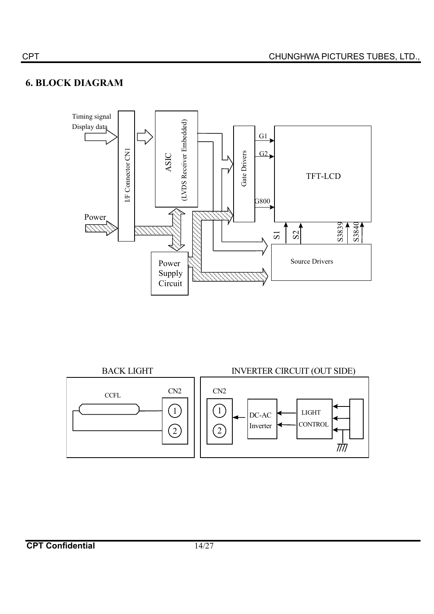# **6. BLOCK DIAGRAM**



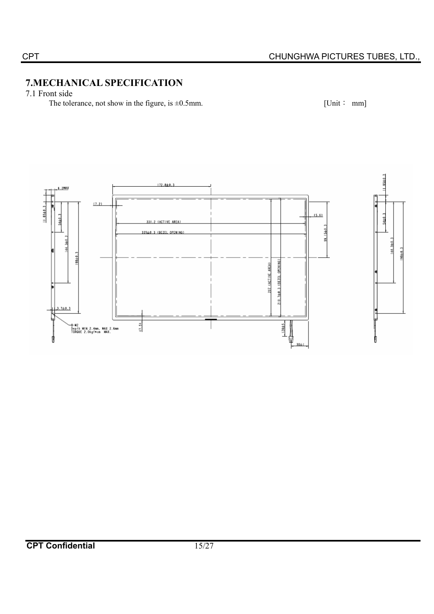# **7.MECHANICAL SPECIFICATION**

7.1 Front side

The tolerance, not show in the figure, is  $\pm 0.5$ mm. [Unit : mm]

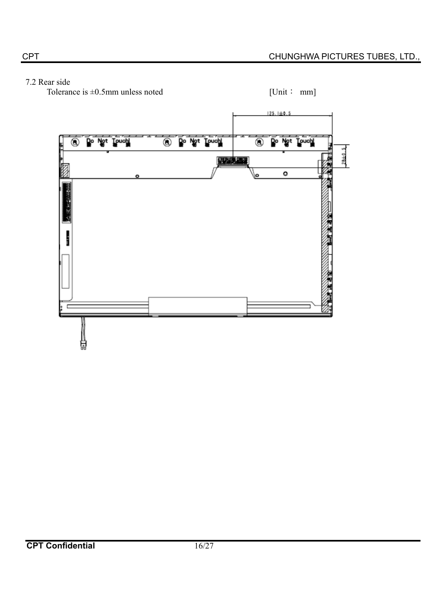# 7.2 Rear side

Tolerance is  $\pm 0.5$ mm unless noted [Unit: mm]

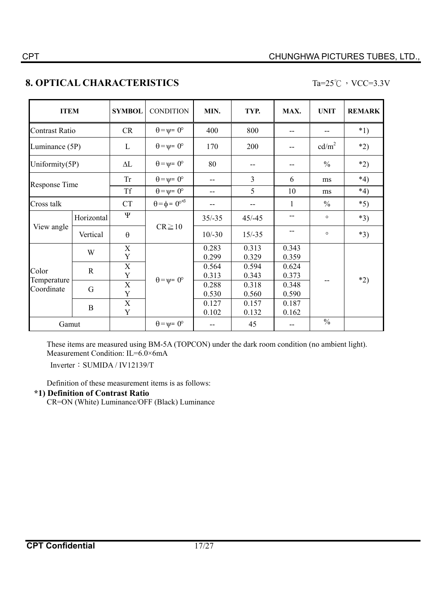# **8. OPTICAL CHARACTERISTICS** Ta=25°C  $\cdot$  VCC=3.3V

| <b>ITEM</b>                        |             | <b>SYMBOL</b>              | <b>CONDITION</b>                          | MIN.           | TYP.           | MAX.           | <b>UNIT</b>       | <b>REMARK</b> |
|------------------------------------|-------------|----------------------------|-------------------------------------------|----------------|----------------|----------------|-------------------|---------------|
| <b>Contrast Ratio</b>              |             | <b>CR</b>                  | $\theta = \psi = 0^{\circ}$               | 400            | 800            | --             | --                | $*1)$         |
| Luminance (5P)                     |             | L                          | $\theta = \psi = 0^{\circ}$               | 170            | 200            | --             | cd/m <sup>2</sup> | $*2)$         |
| Uniformity(5P)                     |             | $\Delta L$                 | $\theta = \psi = 0^{\circ}$               | 80             |                |                | $\frac{0}{0}$     | $*2)$         |
|                                    |             | <b>Tr</b>                  | $\theta = \psi = 0^{\circ}$               | --             | $\overline{3}$ | 6              | ms                | $*4)$         |
| Response Time                      |             | <b>Tf</b>                  | $\theta = \psi = 0^{\circ}$               | --             | 5              | 10             | ms                | $*_{4}$       |
| Cross talk                         |             | <b>CT</b>                  | $\theta = \phi = 0^{\circ}$ <sup>*3</sup> | --             |                | 1              | $\frac{0}{0}$     | $*5)$         |
|                                    | Horizontal  | Ψ                          | $CR \ge 10$                               | $35/-35$       | $45/-45$       | --             | $\circ$           | $*3)$         |
| View angle                         | Vertical    | $\theta$                   |                                           | $10/-30$       | $15/-35$       | --             | $\circ$           | $*3)$         |
|                                    | W           | $\mathbf X$<br>$\mathbf Y$ |                                           | 0.283<br>0.299 | 0.313<br>0.329 | 0.343<br>0.359 |                   |               |
| Color<br>Temperature<br>Coordinate | $\mathbf R$ | $\mathbf X$<br>$\mathbf Y$ |                                           | 0.564<br>0.313 | 0.594<br>0.343 | 0.624<br>0.373 |                   |               |
|                                    | G           | $\mathbf X$<br>Y           | $\theta = \psi = 0^{\circ}$               | 0.288<br>0.530 | 0.318<br>0.560 | 0.348<br>0.590 |                   | $*2)$         |
|                                    | $\bf{B}$    | $\mathbf X$<br>Y           |                                           | 0.127<br>0.102 | 0.157<br>0.132 | 0.187<br>0.162 |                   |               |
| Gamut                              |             |                            | $\theta = \psi = 0^{\circ}$               | --             | 45             | --             | $\frac{0}{0}$     |               |

These items are measured using BM-5A (TOPCON) under the dark room condition (no ambient light). Measurement Condition: IL=6.0×6mA

Inverter: SUMIDA / IV12139/T

Definition of these measurement items is as follows:

#### **\*1) Definition of Contrast Ratio**

CR=ON (White) Luminance/OFF (Black) Luminance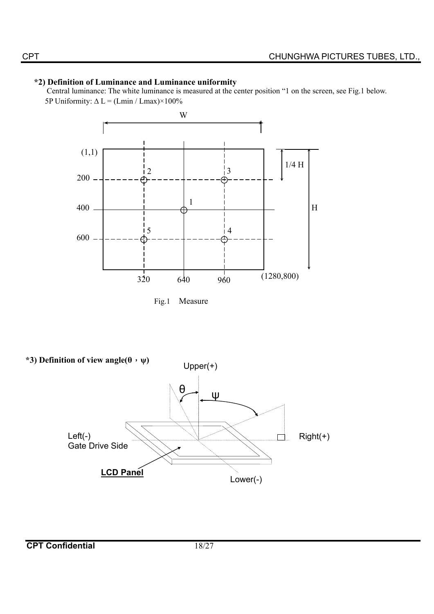# **\*2) Definition of Luminance and Luminance uniformity**

Central luminance: The white luminance is measured at the center position "1 on the screen, see Fig.1 below. 5P Uniformity:  $\Delta L = (Lmin / Lmax) \times 100\%$ 





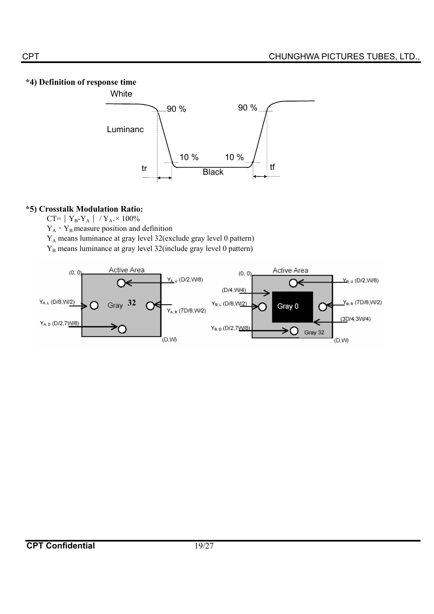# **\*4) Definition of response time**



# **\*5) Crosstalk Modulation Ratio:**

CT=  $Y_B-Y_A$  /  $Y_{A^*} \times 100\%$ 

 $Y_A Y_B$  measure position and definition

YA means luminance at gray level 32(exclude gray level 0 pattern)

Y<sub>B</sub> means luminance at gray level 32(include gray level 0 pattern)

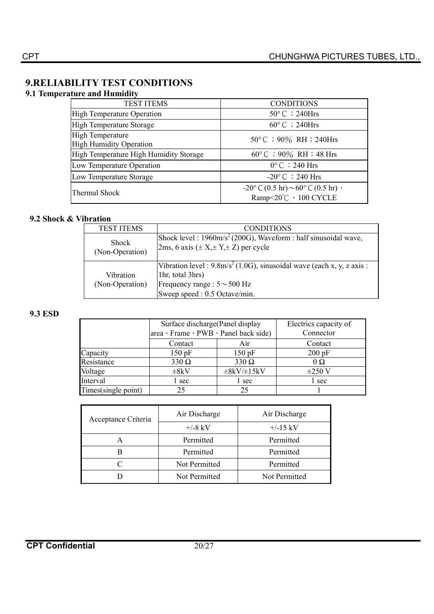# **9.RELIABILITY TEST CONDITIONS**

# **9.1 Temperature and Humidity**

| <b>TEST ITEMS</b>                                         | <b>CONDITIONS</b>                                                             |
|-----------------------------------------------------------|-------------------------------------------------------------------------------|
| <b>High Temperature Operation</b>                         | $50^{\circ}$ C ; 240Hrs                                                       |
| High Temperature Storage                                  | $60^{\circ}$ C ; 240Hrs                                                       |
| <b>High Temperature</b><br><b>High Humidity Operation</b> | $50^{\circ}$ C ; 90% RH ; 240Hrs                                              |
| High Temperature High Humidity Storage                    | $60^{\circ}$ C ; 90% RH ; 48 Hrs                                              |
| Low Temperature Operation                                 | $0^{\circ}$ C $\div$ 240 Hrs                                                  |
| Low Temperature Storage                                   | $-20^{\circ}$ C $\div$ 240 Hrs                                                |
| Thermal Shock                                             | $-20$ °C $(0.5 \text{ hr})$ ~60°C $(0.5 \text{ hr})$ ,<br>Ramp<20℃, 100 CYCLE |

# **9.2 Shock & Vibration**

| <b>TEST ITEMS</b>               | <b>CONDITIONS</b>                                                                                                                                                                    |
|---------------------------------|--------------------------------------------------------------------------------------------------------------------------------------------------------------------------------------|
| <b>Shock</b><br>(Non-Operation) | Shock level: $1960 \text{m/s}^2$ (200G), Waveform: half sinusoidal wave,<br>2ms, 6 axis $(\pm X, \pm Y, \pm Z)$ per cycle                                                            |
| Vibration<br>(Non-Operation)    | Vibration level : $9.8 \text{m/s}^2 (1.0 \text{G})$ , sinusoidal wave (each x, y, z axis :<br>1hr, total 3hrs)<br>Frequency range : $5 \sim 500$ Hz<br>Sweep speed : 0.5 Octave/min. |

#### **9.3 ESD**

|                     | Surface discharge (Panel display<br>area > Frame > PWB > Panel back side) | Electrics capacity of<br>Connector |             |
|---------------------|---------------------------------------------------------------------------|------------------------------------|-------------|
|                     | Contact                                                                   | Air                                | Contact     |
| Capacity            | 150pF                                                                     | 150pF                              | $200$ pF    |
| Resistance          | $330 \Omega$                                                              | $330 \Omega$                       | $\Omega$    |
| Voltage             | $\pm 8kV$                                                                 | $\pm 8kV/\pm 15kV$                 | $\pm 250$ V |
| Interval            | l sec                                                                     | 1 sec                              | 1 sec       |
| Times(single point) | 25                                                                        | 25                                 |             |

| Acceptance Criteria | Air Discharge | Air Discharge |  |  |
|---------------------|---------------|---------------|--|--|
|                     | $+/-8$ kV     | $+/-15$ kV    |  |  |
|                     | Permitted     | Permitted     |  |  |
|                     | Permitted     | Permitted     |  |  |
|                     | Not Permitted | Permitted     |  |  |
|                     | Not Permitted | Not Permitted |  |  |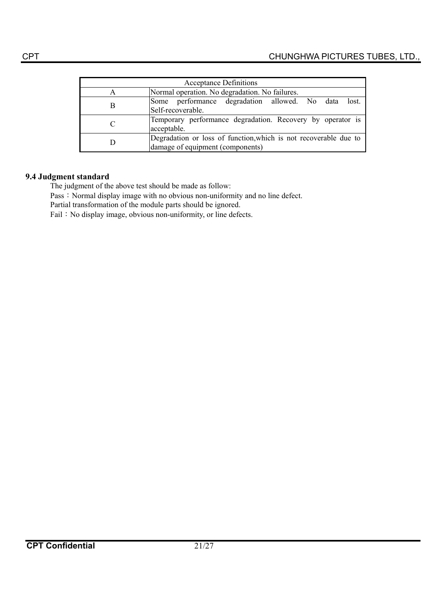|   | <b>Acceptance Definitions</b>                                                                        |  |  |  |  |  |  |  |
|---|------------------------------------------------------------------------------------------------------|--|--|--|--|--|--|--|
| A | Normal operation. No degradation. No failures.                                                       |  |  |  |  |  |  |  |
| В | Some performance degradation allowed. No data<br>lost.<br>Self-recoverable.                          |  |  |  |  |  |  |  |
|   | Temporary performance degradation. Recovery by operator is<br>acceptable.                            |  |  |  |  |  |  |  |
| D | Degradation or loss of function, which is not recoverable due to<br>damage of equipment (components) |  |  |  |  |  |  |  |

#### **9.4 Judgment standard**

The judgment of the above test should be made as follow:

Pass: Normal display image with no obvious non-uniformity and no line defect.

Partial transformation of the module parts should be ignored.

Fail: No display image, obvious non-uniformity, or line defects.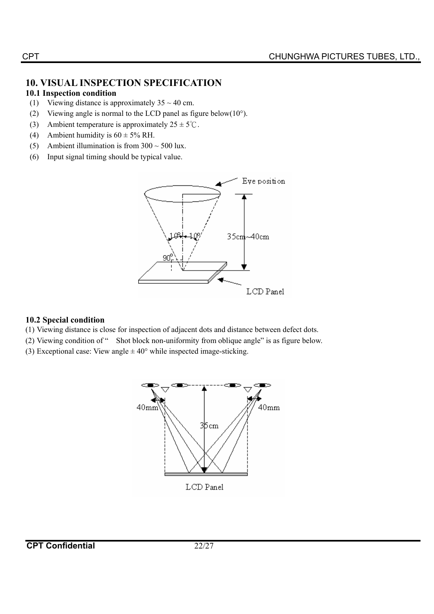# **10. VISUAL INSPECTION SPECIFICATION**

# **10.1 Inspection condition**

- (1) Viewing distance is approximately  $35 \sim 40$  cm.
- (2) Viewing angle is normal to the LCD panel as figure below( $10^{\circ}$ ).
- (3) Ambient temperature is approximately  $25 \pm 5^{\circ}$ C.
- (4) Ambient humidity is  $60 \pm 5\%$  RH.
- (5) Ambient illumination is from  $300 \sim 500$  lux.
- (6) Input signal timing should be typical value.



# **10.2 Special condition**

- (1) Viewing distance is close for inspection of adjacent dots and distance between defect dots.
- (2) Viewing condition of " Shot block non-uniformity from oblique angle" is as figure below.
- (3) Exceptional case: View angle  $\pm 40^{\circ}$  while inspected image-sticking.

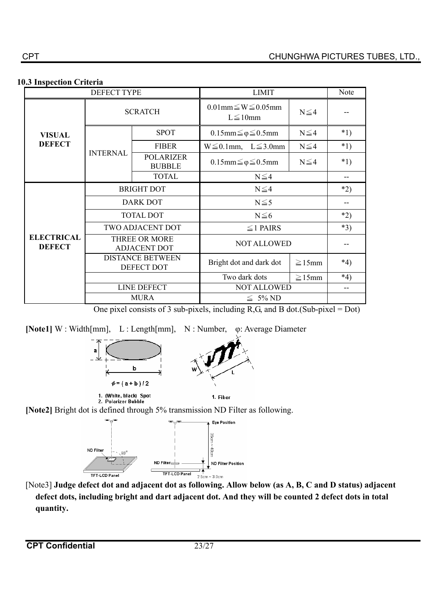#### **10.3 Inspection Criteria**

|                                    | <b>DEFECT TYPE</b>                                                                   |                                   | <b>LIMIT</b>                                      |             |         |  |
|------------------------------------|--------------------------------------------------------------------------------------|-----------------------------------|---------------------------------------------------|-------------|---------|--|
|                                    | <b>SCRATCH</b>                                                                       |                                   | $0.01$ mm $\leq W \leq 0.05$ mm<br>$L \leq 10$ mm | $N \leq 4$  |         |  |
| <b>VISUAL</b>                      |                                                                                      | <b>SPOT</b>                       | $0.15$ mm $\leq \varphi \leq 0.5$ mm              | $N \leq 4$  | $*1)$   |  |
| <b>DEFECT</b>                      |                                                                                      | <b>FIBER</b>                      | $W \le 0.1$ mm, $L \le 3.0$ mm                    | $N \leq 4$  | $*1)$   |  |
|                                    | <b>INTERNAL</b>                                                                      | <b>POLARIZER</b><br><b>BUBBLE</b> | $0.15$ mm $\leq \varphi \leq 0.5$ mm              | $N \leq 4$  | $*1)$   |  |
|                                    |                                                                                      | <b>TOTAL</b>                      | $N \leq 4$                                        |             |         |  |
|                                    |                                                                                      | <b>BRIGHT DOT</b>                 | $N \leq 4$                                        | $*2)$       |         |  |
|                                    |                                                                                      | <b>DARK DOT</b>                   | $N \leq 5$                                        |             |         |  |
|                                    |                                                                                      | <b>TOTAL DOT</b>                  | $N \leq 6$                                        |             | $*2)$   |  |
|                                    |                                                                                      | <b>TWO ADJACENT DOT</b>           | $\leq$ 1 PAIRS                                    |             | $*3)$   |  |
| <b>ELECTRICAL</b><br><b>DEFECT</b> | THREE OR MORE<br><b>ADJACENT DOT</b><br><b>DISTANCE BETWEEN</b><br><b>DEFECT DOT</b> |                                   | <b>NOT ALLOWED</b>                                |             |         |  |
|                                    |                                                                                      |                                   | Bright dot and dark dot                           | $\geq$ 15mm | $*4)$   |  |
|                                    |                                                                                      |                                   | Two dark dots                                     | $\geq$ 15mm | $*_{4}$ |  |
|                                    |                                                                                      | <b>LINE DEFECT</b>                | <b>NOT ALLOWED</b>                                | --          |         |  |
|                                    | <b>MURA</b>                                                                          |                                   | $\leq 5\%$ ND                                     |             |         |  |

One pixel consists of 3 sub-pixels, including  $R$ ,  $G$ , and  $B$  dot.(Sub-pixel = Dot)

[Note1] W : Width[mm], L : Length[mm], N : Number,  $\varphi$ : Average Diameter



**[Note2]** Bright dot is defined through 5% transmission ND Filter as following.



[Note3] **Judge defect dot and adjacent dot as following. Allow below (as A, B, C and D status) adjacent defect dots, including bright and dart adjacent dot. And they will be counted 2 defect dots in total quantity.**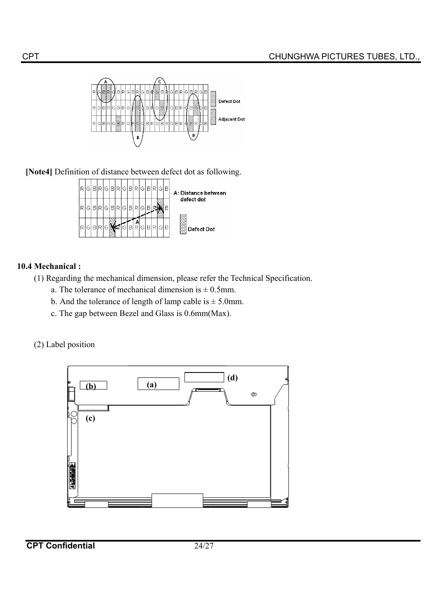

**[Note4]** Definition of distance between defect dot as following.



# **10.4 Mechanical :**

(1) Regarding the mechanical dimension, please refer the Technical Specification.

- a. The tolerance of mechanical dimension is  $\pm$  0.5mm.
- b. And the tolerance of length of lamp cable is  $\pm$  5.0mm.
- c. The gap between Bezel and Glass is 0.6mm(Max).
- (2) Label position



**CPT Confidential** 24/27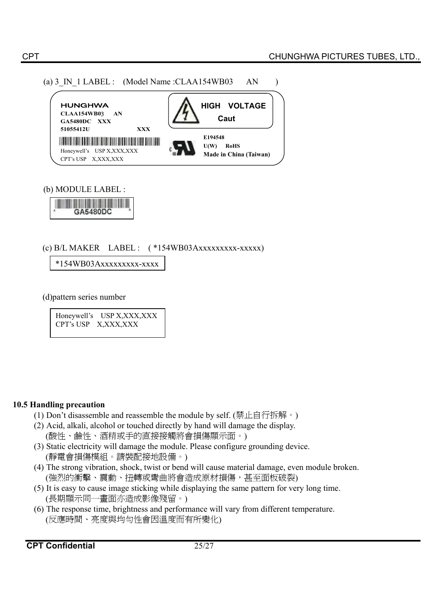



(b) MODULE LABEL :



(c)  $B/L$  MAKER LABEL :  $(*154WB03Axxxxxxxxxxxxxx)$ 

\*154WB03Axxxxxxxxx-xxxx

(d)pattern series number

Honeywell's USP X,XXX,XXX CPT's USP X,XXX,XXX

#### **10.5 Handling precaution**

- (1) Don't disassemble and reassemble the module by self. (禁止自行拆解。)
- (2) Acid, alkali, alcohol or touched directly by hand will damage the display. (酸性、鹼性、酒精或手的直接接觸將會損傷顯示面。)
- (3) Static electricity will damage the module. Please configure grounding device. (靜電會損傷模組。請裝配接地設備。)
- (4) The strong vibration, shock, twist or bend will cause material damage, even module broken. (強烈的衝擊、震動、扭轉或彎曲將會造成原材損傷,甚至面板破裂)
- (5) It is easy to cause image sticking while displaying the same pattern for very long time. (長期顯示同一書面亦浩成影像殘留。)
- (6) The response time, brightness and performance will vary from different temperature. (反應時間、亮度與均勻性會因溫度而有所變化)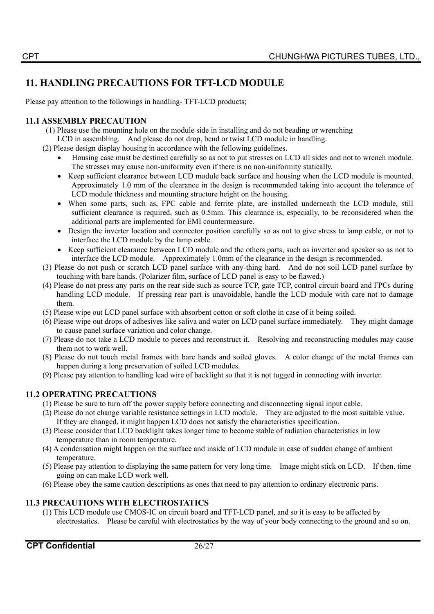# **11. HANDLING PRECAUTIONS FOR TFT-LCD MODULE**

Please pay attention to the followings in handling- TFT-LCD products;

# **11.1 ASSEMBLY PRECAUTION**

- (1) Please use the mounting hole on the module side in installing and do not beading or wrenching
- LCD in assembling. And please do not drop, bend or twist LCD module in handling.
- (2) Please design display housing in accordance with the following guidelines.
	- x Housing case must be destined carefully so as not to put stresses on LCD all sides and not to wrench module. The stresses may cause non-uniformity even if there is no non-uniformity statically.
	- Keep sufficient clearance between LCD module back surface and housing when the LCD module is mounted. Approximately 1.0 mm of the clearance in the design is recommended taking into account the tolerance of LCD module thickness and mounting structure height on the housing.
	- x When some parts, such as, FPC cable and ferrite plate, are installed underneath the LCD module, still sufficient clearance is required, such as 0.5mm. This clearance is, especially, to be reconsidered when the additional parts are implemented for EMI countermeasure.
	- Design the inverter location and connector position carefully so as not to give stress to lamp cable, or not to interface the LCD module by the lamp cable.
	- Keep sufficient clearance between LCD module and the others parts, such as inverter and speaker so as not to interface the LCD module. Approximately 1.0mm of the clearance in the design is recommended.
- (3) Please do not push or scratch LCD panel surface with any-thing hard. And do not soil LCD panel surface by touching with bare hands. (Polarizer film, surface of LCD panel is easy to be flawed.)
- (4) Please do not press any parts on the rear side such as source TCP, gate TCP, control circuit board and FPCs during handling LCD module. If pressing rear part is unavoidable, handle the LCD module with care not to damage them.
- (5) Please wipe out LCD panel surface with absorbent cotton or soft clothe in case of it being soiled.
- (6) Please wipe out drops of adhesives like saliva and water on LCD panel surface immediately. They might damage to cause panel surface variation and color change.
- (7) Please do not take a LCD module to pieces and reconstruct it. Resolving and reconstructing modules may cause them not to work well.
- (8) Please do not touch metal frames with bare hands and soiled gloves. A color change of the metal frames can happen during a long preservation of soiled LCD modules.
- (9) Please pay attention to handling lead wire of backlight so that it is not tugged in connecting with inverter.

# **11.2 OPERATING PRECAUTIONS**

- (1) Please be sure to turn off the power supply before connecting and disconnecting signal input cable.
- (2) Please do not change variable resistance settings in LCD module. They are adjusted to the most suitable value. If they are changed, it might happen LCD does not satisfy the characteristics specification.
- (3) Please consider that LCD backlight takes longer time to become stable of radiation characteristics in low temperature than in room temperature.
- (4) A condensation might happen on the surface and inside of LCD module in case of sudden change of ambient temperature.
- (5) Please pay attention to displaying the same pattern for very long time. Image might stick on LCD. If then, time going on can make LCD work well.
- (6) Please obey the same caution descriptions as ones that need to pay attention to ordinary electronic parts.

# **11.3 PRECAUTIONS WITH ELECTROSTATICS**

(1) This LCD module use CMOS-IC on circuit board and TFT-LCD panel, and so it is easy to be affected by electrostatics. Please be careful with electrostatics by the way of your body connecting to the ground and so on.